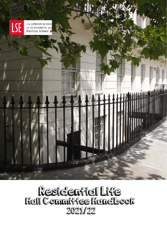

# Residential Life<br>Hall Committe Handbook 2021/22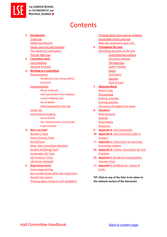

# **Contents**

- **1. [Introduction](#page-1-0)** [Thank you](#page-2-0) [Additional Rewards](#page-2-1) [Equity, Diversity](#page-2-2) and Inclusion [The nature of "community"](#page-3-0) [The LSE Halls Cup](#page-4-1) **2. [Committee Roles](#page-5-0)** [Core Positions](#page-5-1) [Optional Positions](#page-6-0) **3. [Working as a Committee](#page-6-1)** [Representation](#page-7-0) [Residences User Group \(RUG\)](#page-7-1) **[Outreach](#page-7-2)** [Communication](#page-13-0) [Word of Mouth](#page-13-1) [Hall Committee](#page-13-2) Email Address Listserv [Mailing Lists](#page-13-3) [Social Media](#page-14-0) [Advertising within the hall](#page-14-1) [Under 18s](#page-14-2) [International students](#page-15-0) [Social Events](#page-15-1) [Sex, Relationships and Gender](#page-16-0) [Food and Diet](#page-17-0) **4. [Who can help?](#page-17-1)** [Warden's Team](#page-18-0) [Front of House Team](#page-18-1) [ResLifeTeam](#page-18-2) [Other Halls Committee Members](#page-18-3) [Student Wellbeing Team](#page-18-4) [Sustainable LSE Team](#page-19-0) [LSE Students' Union](#page-19-1) [LSE Active LifeStyleE](#page-19-2) **5. [Organising events](#page-7-3)** [Event programming](#page-7-4) [Key considerations when planning events](#page-8-0)
	- [Alcohol-free events](#page-9-0) [Thinking about residents with disabilities](#page-9-1)

[Thinking about international residents](#page-15-0) [Sustainable events planning](#page-10-0) [After the excitement wears off…](#page-10-1)

#### **6. [Throughout the year](#page-11-0)** [Identifying key times of the year](#page-11-1) Committee [Recruitment](#page-11-2) [Christmas Holidays](#page-11-3) [The New Year](#page-12-0) [Easter Holidays](#page-12-1) [Exams](#page-12-2) [Post Exams](#page-12-3) [Summer](#page-12-4)

### [Early Arrivals](#page-11-4)

**7. [Welcome Week](#page-20-0)** [Move-in day](#page-20-1) [First evening](#page-20-2) [Daytime activities](#page-21-0) [Evening activities](#page-21-1) [LSE events throughout the week](#page-22-0)

#### **8. [Handover](#page-22-1)**

[Bank Accounts](#page-23-0) [Website](#page-23-1) [Social Media](#page-23-2) **[Resources](#page-24-0)** 

- **9. Appendix A: [Hall Constitution](#page-25-0)**
- **10. Appendix B:** [Hall Committee](#page-33-0) Code of **[Conduct](#page-33-0)**
- 11. **Appendix C:** [Instructions for accessing](#page-35-0)  [Committee](#page-35-0) mailbox
- 12. **Appendix D:** Further Information for Vice President
- **13. Appendix E:** [Residences Sustainability](#page-39-0)  ['Elevator Pitch'](#page-39-0)
- 14. **Appendix F:** [Deadlines for release of](#page-40-0)  [funds](#page-40-0)

<span id="page-1-0"></span>**TIP: Click on any of the links to be taken to the relevant section of the document.**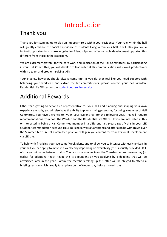# Introduction

### <span id="page-2-0"></span>Thank you

Thank you for stepping up to play an important role within your residence. Your role within the hall will greatly enhance the social experience of students living within your hall. It will also give you a fantastic opportunity to make long-lasting friendships and offer valuable development opportunities different from those in the classroom.

We are extremely grateful for the hard work and dedication of the Hall Committees. By participating in your Hall Committee, you will develop to leadership skills, communication skills, work productively within a team and problem-solving skills.

Your studies, however, should always come first. If you do ever feel like you need support with balancing your workload and extracurricular commitments, please contact your hall Warden, Residential Life Officers or the [student counselling service.](https://info.lse.ac.uk/current-students/student-wellbeing)

# <span id="page-2-1"></span>Additional Rewards

Other than getting to serve as a representative for your hall and planning and shaping your own experience in halls, you will also have the ability to plan amazing programs, for being a member of Hall Committee, you have a chance to live in your current hall for the following year. This will require recommendations from both the Warden and the Residential Life Officer. If you are interested in this or interested in being a Hall Committee member in a different hall, please specify this in your LSE Student Accommodation account. Housing is not always guaranteed and offers can be withdrawn over the Summer Term. A Hall Committee position will gain you content for your Personal Development via LSE Life.

<span id="page-2-2"></span>To help with finalising your Welcome Week plans, and to allow you to interact with early arrivals in your hall you can apply to move in a week early depending on availability (this is usually provided **FREE** of charge but varies between halls). You can usually move in on the Tuesday before move-in day (or earlier for additional fees). Again, this is dependent on you applying by a deadline that will be advertised later in the year. Committee members taking up this offer will be obliged to attend a briefing session which usually takes place on the Wednesday before move-in day.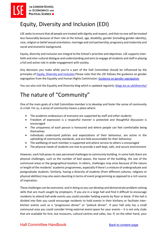# Equity, Diversity and Inclusion (EDI)

LSE seeks to ensure that all people are treated with dignity and respect, and that no-one will be treated less favourably because of their role at the School, age, disability, gender (including gender identity), race, religion or belief sexual orientation, marriage and civil partnership, pregnancy and maternity and social and economic background.

Equity, diversity and inclusion are integral to the School's priorities and objectives. LSE supports interfaith and inter-cultural dialogue and understanding and aims to engage all students and staff in playing a full and active role in wider engagement with society.

Any decisions you make while you're a part of the Hall Committee should be influenced by the principles of [Equity, Diversity and Inclusion](https://info.lse.ac.uk/staff/divisions/equity-diversity-and-inclusion) Please note that the LSE follows the guidance on gender segregation from the Equality and Human Rights Commission: [Guidance on gender segregation](https://www.equalityhumanrights.com/en/publication-download/gender-segregation-events-and-meetings-guidance-universities-and-students)

You can also visit the Equality and Diversity blog which is updated regularly: [blogs.lse.ac.uk/diversity/](http://blogs.lse.ac.uk/diversity/)

# <span id="page-3-0"></span>The nature of "Community"

One of the main goals of a Hall Committee member is to develop and foster the sense of community in a hall. For us, a sense of community means a place where:

- The academic endeavours of everyone are supported by staff and other students
- Freedom of expression is a respectful manner is protected and thoughtful discussion is encouraged
- The uniqueness of each person is honoured and where people can feel comfortable being themselves
- Individuals understand policies and expectations of their behaviour, are active in the upholding of community standards, and are held accountable for their behaviour
- The wellbeing of each member is supported and where service to others is encouraged
- The physical needs of students are met to provide a well-kept, safe, and secure environment

However, each hall poses its own perceived challenges to community building. In some halls there are physical challenges, such as the number of bed spaces, the layout of the building, the size of the communal areas or the geographical location. In others, challenges may arise because of the nature or length of the residents' academic programmes, especially if there's a mixture of undergraduate and postgraduate students. Similarly, having a diversity of students (from different cultures, religions or physical abilities) may also seem daunting in terms of event programming as opposed to a rich source of inspiration.

These challenges can be overcome, and in doing so you can develop and demonstrate problem-solving skills that are much sought by employers. If you are in a large hall and find it difficult to encourage residents to attend hall-wide events you could consider holding events by floor or block. If the hall is divided into flats you could encourage residents to hold events in their kitchens or facilitate interkitchen events such as a "progressive dinner" or "potluck dinner". If your hall only has a small communal area you could consider hiring external event-space for your events – it is not only clubs that are available for hire, but museums, cultural centres and cafes, too. If, on the other hand, your

### Hall Committee Handbook [Back to content page](#page-4-0)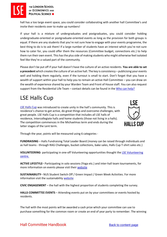

THE LONDON SCHOOL OF ECONOMICS AND **POLITICAL SCIENCE** 

hall has a too large event space, you could consider collaborating with another hall Committee's and invite their residents over to make up numbers!

If your hall is a mixture of undergraduates and postgraduates, you could consider holding undergraduate-oriented or postgraduate-oriented events as long as the provision for both groups is equal. If there are any students that you're not sure how to engage with your events programme, the best thing to do is to ask them! If a large number of students have an interest which you're not sure how to cater for, you could offer them the resources (Committee budget, connections etc.) to help them run their own event. This has the plus side of making students who might otherwise feel isolated feel like they're a valued part of the community.

Please don't be put off if your hall doesn't have the culture of an active residents. **You are able to set a precedent** which creates the culture of an active hall. The key is consistency – publicising your events well and holding them regularly, even if the turnout is small to start. Don't forget that you have a wealth of support within your hall to help you to remain an active Hall Committee – you can draw on the wealth of experience shared by your Warden Team and Front of House staff. You can also request support from the Residential Life Team – contact details can be found in the [Who can help?](#page-17-1)

# <span id="page-4-1"></span><span id="page-4-0"></span>LSE Halls Cup

[LSE Halls Cup](https://info.lse.ac.uk/current-students/accommodation/halls-cup) was introduced to create unity in the hall's community. This is residence's chance to get active, do great things and overcome challenges, with great people. LSE Halls Cup is a competition that includes all LSE halls of residence, Intercollegiate halls and home students (those not living in a halls). The competition commences in the Michaelmas term and ends during the latter stages of the Lent term.



Through the year, points will be measured using 6 categories -

**FUNDRAISING** – Halls Fundraising Total Leader Board (money can be raised through individuals and as hall teams - through RAG Challenges, bucket collections, bake sales, Halls Cup T-shirt sales etc.)

**VOLUNTEERING**- participating in one-off Volunteering opportunities thought the [LSE Volunteering](https://info.lse.ac.uk/Current-Students/Careers/Volunteer-Centre)  [centre.](https://info.lse.ac.uk/Current-Students/Careers/Volunteer-Centre)

**ACTIVE LIFESTYLE**– Participating in solo sessions (Yoga etc.) and inter-hall team tournaments, for more information on events please visit their [website](https://www.lsesu.com/activelse/) 

**SUSTAINABILITY**– NUS Student Switch Off / Green Impact / Green Week Activities. For more information visit the sustainability [website](https://info.lse.ac.uk/staff/divisions/estates-division/sustainable-lse)

**CIVIC ENGAGEMENT** – the hall with the highest proportion of students completing the survey.

**HALLS COMMITTEE EVENTS** – Attending events put on by your committees or events hosted by residents.

The hall with the most points will be awarded a cash prize which your committee can use to purchase something for the common room or create an end of year party to remember. The winning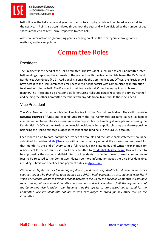

THE LONDON SCHOOL OF ECONOMICS AND **POLITICAL SCIENCE III** 

hall will have the halls name and year inscribed onto a trophy, which will be placed in your hall for the next year. Points are accumulated throughout the year and will be divided by the number of bed spaces at the end of Lent Term (respective to each hall).

<span id="page-5-0"></span>Add here information on (submitting points; earning points in those categories through other methods; evidencing points).

# Committee Roles

### <span id="page-5-1"></span>President

The President is the head of the Hall Committee. The President is required to chair Committee interhall meetings, represent the interests of the residents with the Residential Life team, the LSESU and Residences User Group (RUG). Additionally, alongside the Communications Officer, the President will have access to the Hall Committee email account to further assist with communicating information to all residents in the hall. The President must lead each Hall Council meeting in an unbiased manner. The President is also responsible for ensuring Halls Cup data is recorded in a timely manner and helping the other Committee members with any additional tasks should there be a need.

### Vice President

The Vice President is responsible for keeping track of the Committee budget. They will maintain **accurate records** of funds and expenditures from the Hall Committee accounts, as well as handle committee purchases. The Vice President is also responsible for handling all receipts and ensuring the Residential Life Officer is up to date on financial decisions. Where applicable, they are also responsible balancing the Hall Committee budget spreadsheet and fund held in the SOLDO account.

Each month an up to date, comprehensive set of accounts and the latest bank statement should be submitted to [residential.life@lse.ac.uk](mailto:residential.life@lse.ac.uk) with a brief summary of what the money has been used for that month. At the end of every term a full record, bank statement, and written explanation for residents of last term's fund use should be submitted to [residential.life@lse.ac.uk.](mailto:residential.life@lse.ac.uk) This will need to be approved by the warden and distributed to all residents in order for the next term's common room fees to be released to the Committee. Please see more information about the Vice President role, including submission deadlines and payment dates, in **Appendix F**.

*Please note: Tighter money laundering regulations, and increasing identity fraud, have made banks cautious about who they allow to be named on a British bank account. As such, students with Tier 4 Visas, or students unable to provide proof of address in the UK for the previous 12 months will struggle to become signatories on the Committee bank account and will be unable to fulfil the requirements of the Committee Vice President role. Students that this applies to are advised not to stand for the Committee Vice President role but are instead encouraged to stand for any other role on the Committee.*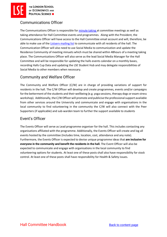### Communications Officer

The Communications Officer is responsible for [minute taking](https://www.wildapricot.com/articles/how-to-write-meeting-minutes) at committee meetings as well as taking attendance for Hall Committee events and programmes. Along with the President, the Communications Officer will have access to the Hall Committee email account and will, therefore, be able to make use of the [Listserv mailing list](#page-13-3) to communicate with all residents of the hall. The Communication Officer will also need to use Social Media to communication and update the Residence Community of meeting minuets which must be shared within 48hours of a meeting taking place. The Communications Officer will also serve as the lead Social Media Manager for the Hall Committee and will be responsible for updating the halls events calendar on a monthly bases, recording Halls Cup Data and updating the LSE Student Hub and may delegate responsibilities of Social Media to other members when necessary.

### <span id="page-6-0"></span>Community and Welfare Officer

The Community and Welfare Officer (C/W) are in charge of providing variations of support for residents in the hall. The C/W Officer will develop and create programmes, events and/or campaigns for the betterment of the students and their wellbeing (e.g. yoga sessions, therapy dogs or exam stress workshop). Additionally, the C/W Officer will promote and publicise the professional support available from other services around the University and communicate and engage with organisations in the local community to find volunteering in the community the C/W will also connect with the Peer Supporters (if applicable) and sub-warden team to further the support available to students

### Event's Officer

<span id="page-6-1"></span>The Events Officer will serve as Lead programme organiser for the hall. This includes contacting any organisations affiliated with the programme. Additionally, the Events Officer will create and log all events hosted by the committee (Includes time, location, cost, attendance and any note). Furthermore, the Events Officer is expected to devise unique programme ideas that **are inclusive for everyone in the community and benefit the residents in the hall.** The Event Officer will also be expected to communicate and engage with organisations in the local community to find volunteering options for students. At least one of these posts shall also have responsibility for stock control. At least one of these posts shall have responsibility for Health & Safety issues.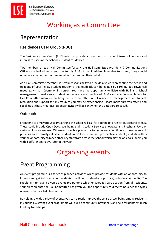# Working as a Committee

### <span id="page-7-0"></span>Representation

### <span id="page-7-1"></span>Residences User Group (RUG)

The Residences User Group (RUG) exists to provide a forum for discussion of issues of concern and interest to users of the School's student residences.

Two members of each Hall Committee (usually the Hall Committee President & Communications Officer) are invited to attend the termly RUG. If the President is unable to attend, they should nominate another Committee member to attend on their behalf.

As a Hall Committee member, it is your responsibility to provide a voice representing the needs and opinions of your fellow student residents, this feedback can be gained by carrying out Town Hall meetings virtual (Zoom) or in person. You have the opportunity to liaise with Hall and School management to make sure student concerns are communicated. RUG can be an invaluable tool for Hall Committee members to bring items to the attention of residences management and to seek resolution and support for any troubles you may be experiencing. Please make sure you attend and speak up at these meetings, calendar invites will be sent when the dates are released.

### <span id="page-7-2"></span>**Outreach**

From time to time various teams around the school will ask for your help to run various central events. These could include Open Days, Wellbeing Stalls, Student Services Showcase and Fresher's Fayre or sustainability awareness. Wherever possible please try to volunteer your time at these events. It provides an extremely valuable 'student voice' for current and prospective students, and also offers you the opportunity to meet other key staff from across the School which may be able to support you with a different initiative later in the year.

# Organising events

### <span id="page-7-4"></span><span id="page-7-3"></span>Event Programming

An event programme is a series of planned activities which provide residents with an opportunity to interact and get to know other residents. It will help to develop a positive, inclusive community. You should aim to have a diverse events programme which encourages participation from all residents. Your election onto the Hall Committee has given you the opportunity to directly influence the types of events that are held in your hall.

By holding a wide variety of events, you can directly improve the sense of wellbeing among residents in your hall. A strong event programme will build a community in your hall, and help residents establish life-long friendships.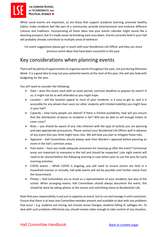THE LONDON SCHOOL OF ECONOMICS AND **POLITICAL SCIENCE** 

While social events are important, so are those that support academic learning, promote healthy habits, make residents feel like part of a community, provide entertainment and embrace different cultures and traditions. Incorporating all these ideas into your events calendar might sound like a daunting prospect, but it's made easier by breaking each area down. Events currently held in your hall will probably already contribute to multiple areas of wellness!

For event suggestions please get in touch with your Residential Life Officer and they can share previous event ideas that have been successful in the past.

### <span id="page-8-0"></span>Key considerations when planning events

There will be plenty of opportunities to organise events throughout the year, not just during Welcome Week. It is a good idea to map out your potential events at the start of the year; this will also help with budgeting for the year.

You will need to consider the following:

- Date does this event clash with an exam period, common deadline or popular SU event? If so, it might not be as well attended as you might hope.
- Location will the location appeal to most of your residents, is it easy to get to, and is it accessible for any wheel-chair users (or other students with limited mobility) you might have in your hall?
- Capacity how many people can attend? If there is limited availability, how will you ensure that the distribution of places to residents is fair? Will you be able to sell enough tickets to cover costs?
- Risks you should be aware of any risks inherent with the type of activity you are planning and take appropriate precautions. Please contact your Residential Life Officer well in advance of any event that you think might have risks. We will help you plan to mitigate those risks.
- Approval Hall Committees should always seek their Warden's approval before planning an event in the hall's common areas.
- Post-event have you made adequate provisions for cleaning up after the event? Communal areas are important to everyone in the hall and should be respected. Late night events will need to be cleared before the following morning in case others plan to use the area for early morning activities.
- COVID events While COVID is ongoing, you will need to ensure events are held in a household manner or virtually, hall wide events will not be possible until further notice from the Government.
- Photos Hall Committees are as much as a representation of your residents, but also of the school. When arranging events, Hall Committees should always document the event, this should be done by taking photos at the events and submitting these to Residentials Life.

Note that your responsibility is not just to organise an event, but to run and manage it until conclusion. Ensure that there is at least one Committee member present and available to deal with any problems that occur – e.g. students not mixing, last minute venue changes, students falling ill, spillages etc. To deal with such problems effectively you should remain sober enough to take control of any situation.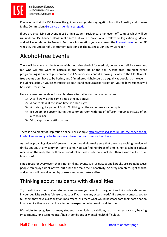THE LONDON SCHOOL OF ECONOMICS AND **POLITICAL SCIENCE** 

> Please note that the LSE follows the guidance on gender segregation from the Equality and Human Rights Commission: [Guidance on gender segregation](https://www.equalityhumanrights.com/en/publication-download/gender-segregation-events-and-meetings-guidance-universities-and-students)

> If you are organising an event at LSE or in a student residence, or an event off-campus which will be run under an LSE banner, please make sure that you are aware of and follow the legislation, guidance and advice in relation to Prevent. For more information you can consult the [Prevent page](https://info.lse.ac.uk/staff/divisions/Secretarys-Division/Prevent) on the LSE website, the Director of Government Relations or The Business Continuity Manager.

### <span id="page-9-0"></span>Alcohol-free Events

There will be some residents who might not drink alcohol for medical, personal or religious reasons, but who will still want to partake in the social life of the hall. Alcohol-free late-night event programming is a recent phenomenon in US universities and it's making its way to the UK. Alcoholfree events don't have to be boring, and (if marketed right!) could be equally as popular as the events including alcohol. If you're enthusiastic about it and encourage participation, your fellow residents will be excited for it too.

Here are great some ideas for alcohol-free alternatives to the usual activities:

- 1) A café crawl at the same time as the pub crawl
- 2) A dance class at the same time as a club night
- 3) A trivia night / game of Rock'n'Roll bingo at the same time as a pub quiz
- 4) Ice cream or popcorn bar in the common room with lots of different toppings instead of an alcoholic bar
- 5) Virtual quiz's or Netflix parties.

There is also plenty of inspiration online. For example [http://www.stylist.co.uk/life/the-sober-social](http://www.stylist.co.uk/life/the-sober-social-life-brilliant-evening-activities-you-can-do-without-alcohol-to-do-activites)[life-brilliant-evening-activities-you-can-do-without-alcohol-to-do-activites](http://www.stylist.co.uk/life/the-sober-social-life-brilliant-evening-activities-you-can-do-without-alcohol-to-do-activites)

As well as providing alcohol-free events, you should also make sure that there are exciting no-alcohol drinks options at any common room events. You can find hundreds of simple, non-alcoholic cocktail recipes on the web, that will make non-drinkers feel much more included than a warm coke or flat lemonade!

Find a focus for every event that is not drinking. Events such as quizzes and karaoke are great, because people can enjoy a drink or two, but it isn't the main focus or activity. An array of nibbles, light snacks, and games will be welcomed by drinkers and non-drinkers alike.

### <span id="page-9-1"></span>Thinking about residents with disabilities

Try to anticipate how disabled students may access your events. It's a good idea to include a statement in your publicity such as 'please contact us if you have any access needs'. If a student contacts you to tell them they have a disability or impairment, ask them what would best facilitate their participation in an event – they are most likely to be the expert on what works well for them!

It's helpful to recognise that many students have hidden disabilities, such as dyslexia, visual/ hearing impairments, long term medical/ health conditions or mental health difficulties.

### Hall Committee Handbook [Back to content page](#page-4-0)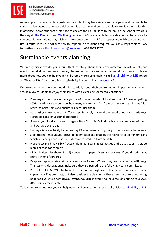An example of a reasonable adjustment, a student may have significant back pain, and be unable to stand in a long queue to collect a ticket. In this case, it would be reasonable to provide them with this in advance. Some students prefer not to declare their disabilities to the hall or the School, which is their right. [The Disability and Wellbeing Service \(DWS\)](https://info.lse.ac.uk/current-students/student-wellbeing/disability-wellbeing/disability-and-wellbeing-service) is available to provide confidential advice to students. Some students may wish to make contact with a LSE Peer Supporter, which can be another useful route. If you are not sure how to respond to a student's request, you can always contact DWS for further advice - [disability-dyslexia@lse.ac.uk](mailto:disability-dyslexia@lse.ac.uk) or 020 7955 7767.

# <span id="page-10-0"></span>Sustainable events planning

When organising events, you should think carefully about their environmental impact. All of your events should allow residents to enjoy themselves with a clear environmental conscience. To learn more about how you can help your hall become more sustainable, visit: **[Sustainability at LSE](https://info.lse.ac.uk/staff/divisions/estates-division/sustainable-lse)** To see an 'Elevator Pitch' for promoting sustainability in your hall, visi[t Appendix E.](#page-39-0)

When organising events you should think carefully about their environmental impact. All your events should allow residents to enjoy themselves with a clear environmental conscience.

- Planning order the amounts you *need* to avoid waste of food and drink! Consider getting RSVPs in advance so you know how many to cater for. Ask front of house or cleaning staff for recycling bags / bins and ensure residents use them.
- Purchasing does your drinks/food supplier apply any environmental or ethical criteria (e.g. Fairtrade, Local or Seasonal produce)?
- 'Reveal' your food and drink in stages- Stops 'hoarding' of drinks & food and reduces leftovers and wastage at the end.
- Unplug Save electricity by not leaving PA equipment and lighting on before and after events.
- Slop Bucket encourages 'dregs' to be emptied and enables the recycling of aluminium cans which are energy and resource intensive to produce from scratch.
- Place recycling bins visibly (recycle aluminium cans, glass bottles and plastic cups) Scrape plates of food for compost.
- Digital invites (Facebook, Email) better than paper flyers and posters. If you do print any, recycle them afterwards
- Keep and appropriately store any reusable items. Where they are occasion specific (e.g. Thanksgiving decorations), make sure they are passed to the following year's committee.
- Plastic Free LSE & BYO Try to limit the amount of single used plastics and purchase re-usable cups/straws if appropriate, but also consider the cleaning of these items or think about using paper equivalents, alternative all event should be moved in to the direction of Bring Your Own (BYO) cups, crockery etc.

<span id="page-10-1"></span>To learn more about how you can help your hall become more sustainable, visit: [Sustainability at LSE](https://info.lse.ac.uk/staff/divisions/estates-division/sustainable-lse)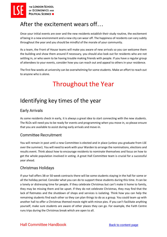## After the excitement wears off…

Once your initial events are over and the new residents establish their study routine, the excitement of being in a new environment and a new city can wear off. The happiness of residents can vary subtly throughout the year and you should be mindful of the morale of your community.

As a team, the Front of House teams will make you aware of new arrivals so you can welcome them the building and show them around if necessary, you should also look out for residents who are not settling in, or who seem to be having trouble making friends with people. If you have a regular group of attendees to your events, consider how you can reach out and appeal to others in your residence.

<span id="page-11-0"></span>The first few weeks at university can be overwhelming for some students. Make an effort to reach out to anyone who is alone.

# Throughout the Year

### <span id="page-11-1"></span>Identifying key times of the year

### <span id="page-11-4"></span>Early Arrivals

As some residents check in early, it is always a great idea to start connecting with the new students. The RLOs will need you to be ready for events and programming when you move in, so please ensure that you are available to assist during early arrivals and move-in.

### <span id="page-11-2"></span>Committee Recruitment

You will remain in post until a new Committee is elected and in place (unless you graduate from LSE over the summer). You will need to work with your Warden to arrange the nominations, elections and results event. Think about how to encourage residents to nominate themselves and focus on how to get the whole population involved in voting. A great Hall Committee team is crucial for a successful year ahead.

### <span id="page-11-3"></span>Christmas Holidays

If your hall offers 38-or 50-week contracts there will be some students staying in the hall for some or all the holiday period. Consider what you can do to support these students during this time. It can be a lonely or distressing time for people. If they celebrate Christmas but can't make it home to family, they may be missing them and be upset. If they do not celebrate Christmas, they may find that the lack of flatmates and the shutdown of shops and services is isolating. Think how you can help the remaining students find each other so they can plan things to do as a group. You could team up with another hall to offer a Christmas themed movie night with mince pies. If you can't facilitate anything yourself, make sure students are aware of other places they can go. For example, the Faith Centre runs trips during the Christmas break which are open to all.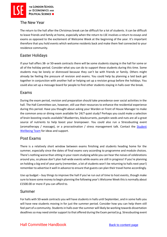

### <span id="page-12-0"></span>The New Year

The return to the hall after the Christmas break can be difficult for a lot of students. It can be difficult to leave friends and family at home, especially when the return to LSE involves a return to essays and exams as opposed to the excitement of Welcome Week at the beginning of the year. It's important therefore that you hold events which welcome residents back and make them feel connected to your residence community.

### <span id="page-12-1"></span>Easter Holidays

If your hall offers 38- or 50-week contracts there will be some students staying in the hall for some or all of the holiday period. Consider what you can do to support these students during this time. Some students may be lonely or distressed because they can't be with friends or family. Others might already be feeling the pressure of revision and exams. You could help by planning a laid back get together in conjunction with another hall or helping set up a revision group before the holidays. You could also set up a message board for people to find other students staying in halls over the break.

### <span id="page-12-2"></span>Exams

During the exam period, revision and preparation should take precedence over social activities in the hall. The Hall Committee can, however, still use their resources to enhance the residential experience during this period. Have you thought about asking your Warden or Front of House Manager to make the common area or dining room available for 24/7 quiet study? Perhaps you could make a selection of brain boosting snacks available? Blueberries, blackcurrants, pumpkin seeds and nuts are all a great source of nutrients to help boost your brainpower. You could also run a Stressbusting event (aromatherapy / massage), or a procrastination / stress management talk. Contact the Student [Wellbeing Team](https://info.lse.ac.uk/current-students/student-wellbeing) for ideas and support.

### <span id="page-12-3"></span>Post Exams

There is a relatively short window between exams finishing and students heading home for the summer, especially since the dates of final exams vary according to programme and module choices. There's nothing worse than sitting in your room studying while you can hear the noises of celebrations around you, so please don't plan hall-wide events while exams are still in progress! If you're planning on holding a big end of year party (remember, a lot of students won't be returning to halls next year!) remember to advertise it well in advance to ensure that guests can plan their travel home accordingly.

Use up budget – buy things to improve the hall if you've run out of time to host events, though make sure to leave some money to begin planning the following year's Welcome Week this is normally about £1500.00 or more if you can afford to.

### <span id="page-12-4"></span>Summer

For halls with 50-week contracts you will have students in halls until September, and in some halls you will have new students moving in for just the summer period. Consider how you can help them still feel part of a community. Students in halls over the summer will likely be working towards dissertation deadlines so may need similar support to that offered during the Exam period (e.g. Stressbusting event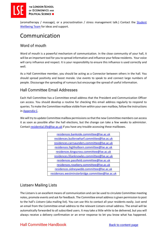

(aromatherapy / massage), or a procrastination / stress management talk.) Contact the [Student](http://www.lse.ac.uk/intranet/students/supportServices/healthSafetyWellbeing/home.aspx)  [Wellbeing Team](http://www.lse.ac.uk/intranet/students/supportServices/healthSafetyWellbeing/home.aspx) for ideas and support.

### <span id="page-13-0"></span>Communication

### <span id="page-13-1"></span>Word of mouth

Word of mouth is a powerful mechanism of communication. In the close community of your hall, it will be an important tool for you to spread information and influence your fellow residents. Your voice will carry influence and respect. It is your responsibility to ensure this influence is used correctly and well.

As a Hall Committee member, you should be acting as a Connector between others in the hall. You should spread positivity and boost morale. Use events to speak to and connect large numbers of people. Discourage the spreading of rumours but encourage the spread of useful information.

### <span id="page-13-2"></span>Hall Committee Email Addresses

Each Hall Committee has a Committee email address that the President and Communication Officer can access. You should develop a routine for checking this email address regularly to respond to queries. To make the Committee mailbox visible from within your own mailbox, follow the instructions in [Appendix C.](#page-35-0)

We will try to update Committee mailbox permissions so that the new Committee members can access it as soon as possible after the hall elections, but the change can take a few weeks to administer. Contact [residential.life@lse.ac.uk](mailto:residential.life@lse.ac.uk) if you have any trouble accessing these mailboxes.

| residences.bankside.committee@lse.ac.uk          |
|--------------------------------------------------|
| residences.butlerswharf.committee@lse.ac.uk      |
| residences.carrsaunders.committee@lse.ac.uk      |
| residences.highholborn.committee@lse.ac.uk       |
| residences.kingscross.committee@lse.ac.uk        |
| residences.lilianknowles.committee@lse.ac.uk     |
| residences.passfield.committee@lse.ac.uk         |
| residences.rosebery.committee@lse.ac.uk          |
| residences.sidneywebb.committee@lse.ac.uk        |
| residences.westminsterbridge.committee@lse.ac.uk |

### <span id="page-13-3"></span>Listserv Mailing Lists

The Listserv is an excellent means of communication and can be used to circulate Committee meeting notes, promote events and ask for feedback. The Committee email address is given permission to post to the hall's Listserv (aka mailing list). You can use this to contact all your residents easily. Just send an email from the Committee email address to the relevant Listserv email address. The email will be automatically forwarded to all subscribed users. It may take a little while to be delivered, but you will always receive a delivery confirmation or an error response to let you know what has happened.

### Hall Committee Handbook [Back to content page](#page-4-0)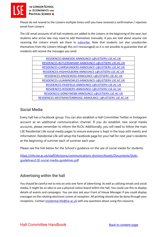

Please do not resend to the Listserv multiple times until you have received a confirmation / rejection email from Listserv.

The LSE email accounts of all hall residents are added to the Listserv at the beginning of the year, but students who arrive late may need to add themselves manually. If you are told about anyone not receiving the Listserv emails ask them to [subscribe.](https://info.lse.ac.uk/staff/divisions/dts/help/halls-mailing-lists) Note that students can also unsubscribe themselves from the Listserv (though this isn't encouraged) so it is not possible to guarantee that all residents will receive the messages you send.

| RESIDENCES-BANKSIDE-ANNOUNCE-L@LISTSERV.LSE.AC.UK          |  |
|------------------------------------------------------------|--|
| RESIDENCES-BUTLERSWHARF-ANNOUNCE-L@LISTSERV.LSE.AC.UK      |  |
| RESIDENCES-CARRSAUNDERS-ANNOUNCE-L@LISTSERV.LSE.AC.UK      |  |
| RESIDENCES-HIGHHOLBORN-ANNOUNCE-L@LISTSERV.LSE.AC.UK       |  |
| RESIDENCES-KINGSCROSS-ANNOUNCE-L@LISTSERV.LSE.AC.UK        |  |
| RESIDENCES-LILIANKNOWLES-ANNOUNCE-L@LISTSERV.LSE.AC.UK     |  |
| RESIDENCES-PASSFIELD-ANNOUNCE-L@LISTSERV.LSE.AC.UK         |  |
| RESIDENCES-ROSEBERY-ANNOUNCE-L@LISTSERV.LSE.AC.UK          |  |
| RESIDENCES-SIDNEYWEBB-ANNOUNCE-L@LISTSERV.LSE.AC.UK        |  |
| RESIDENCES-WESTMINSTERBRIDGE-ANNOUNCE-L@LISTSERV.LSE.AC.UK |  |
|                                                            |  |

### <span id="page-14-0"></span>Social Media

Every hall has a Facebook group. You can also establish a Hall Committee Twitter or Instagram account as an additional communication channel. If you do establish new social media accounts, please remember to inform the RLOs. Additionally, you will need to follow the main LSE Residential Life social media pages to ensure everyone is kept in the loop with events and information. Residential Life will setup the Facebook page for your hall for next year's residents at the beginning of summer each of summer each year.

Please see the link below for the School's guidance on the use of social media for students.

[https://info.lse.ac.uk/staff/divisions/communications-division/Assets/Documents/Style](https://info.lse.ac.uk/staff/divisions/communications-division/Assets/Documents/Style-guidelines/LSE-social-media-guidelines.pdf)[guidelines/LSE-social-media-guidelines.pdf](https://info.lse.ac.uk/staff/divisions/communications-division/Assets/Documents/Style-guidelines/LSE-social-media-guidelines.pdf)

### <span id="page-14-1"></span>Advertising within the hall

<span id="page-14-2"></span>You should be careful not to rely on only one form of advertising. As well as utilising emails and social media, it might be an idea to use a physical notice board within the hall. You could use this to display details of events and campaigns. You can also ask your Front of House Manager if you could display messages on the rotating electronic screen at reception. All printing should also be done through your receptions. Contact [residential.life@lse.ac.uk](mailto:residential.life@lse.ac.uk) with any questions about using this resource.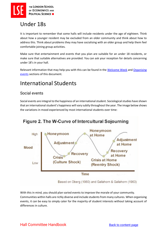## Under 18s

It is important to remember that some halls will include residents under the age of eighteen. Think about how a younger resident may be excluded from an older community and think about how to address this. Think about problems they may have socialising with an older group and help them feel comfortable joining group activities.

Make sure that entertainment and events that you plan are suitable for an under 18 residents, or make sure that suitable alternatives are provided. You can ask your reception for details concerning under 18's in your hall.

Relevant information that may help you with this can be found in the [Welcome Week](#page-20-0) an[d Organising](#page-22-1)  [events](#page-22-1) sections of this document.

### <span id="page-15-0"></span>International Students

### <span id="page-15-1"></span>Social events

Social events are integral to the happiness of an international student. Sociological studies have shown that an international student's happiness will vary subtly throughout the year. The image below shows the variations in mood experienced by most international students over time:



With this in mind, you should plan varied events to improve the morale of your community. Communities within halls are richly diverse and include students from many cultures. When organising events, it can be easy to simply cater for the majority of student interests without taking account of differences in culture.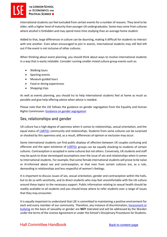International students can feel excluded from certain events for a number of reasons. They tend to be older, with a higher level of maturity than younger UK undergraduates. Some may come from cultures where alcohol is forbidden and may spend more time studying than an average home student.

Added to that, large differences in culture can be daunting, making it difficult for students to interact with one another. Even when encouraged to join in events, international students may still feel left out if the event is not inclusive of other cultures.

When thinking about event planning, you should think about ways to involve international students in a way that is easily relatable. Consider running smaller mixed culture group events such as:

- Walking tours
- Sporting events
- Museum guided tours
- Food or dining experiences
- Shopping trips

As well as events planning, you should try to help International students feel at home as much as possible and give help offering advice when advice is needed.

Please note that the LSE follows the guidance on gender segregation from the Equality and Human Rights Commission: [Guidance on gender segregation](https://www.equalityhumanrights.com/en/publication-download/gender-segregation-events-and-meetings-guidance-universities-and-students)

### <span id="page-16-0"></span>Sex, relationships and gender

UK culture has a high degree of openness when it comes to relationships, sexual orientation, and the equal status of [LGBTQ+](https://info.lse.ac.uk/staff/divisions/Academic-Mentoring-Portal/Assets/Documents/Additions-1-Oct-2020/LSESU-LGBTQ-Guide-Final.pdf) community and relationships. Students from some cultures can be surprised or shocked by this openness and, as a result, differences of opinion or exclusion may occur.

Some international students can find public displays of affection between UK couples confusing and offensive and the open existence of [LGBTQ+](https://info.lse.ac.uk/staff/divisions/Academic-Mentoring-Portal/Assets/Documents/Additions-1-Oct-2020/LSESU-LGBTQ-Guide-Final.pdf) groups can be equally shocking to students of certain cultures. Contraception is accepted in some cultures but not others. Conversely, UK students and staff may be quick to draw stereotyped assumptions over the issue of sex and relationships when it comes to International students. For example, that some female international students will prove to be naïve or ill-informed about sex and contraception, or that men from certain cultures are, as a rule, demanding in relationships and less respectful of women's feelings.

It is important to discuss issues of sex, sexual orientation, gender and contraception within the halls, but to do so with sensitivity, and to direct students who may feel uncomfortable with the UK culture around these topics to the necessary support. Public information relating to sexual health should be readily available to all students and you should know where to refer students over a range of issues that they may encounter.

It is equally important to understand that LSE is committed to maintaining a positive environment for each and every member of our community. Therefore, any instance of discrimination[, harassment or](https://info.lse.ac.uk/staff/divisions/equity-diversity-and-inclusion/EDI-and-you/Making-a-choice/Report-an-incident)  [bullying](https://info.lse.ac.uk/staff/divisions/equity-diversity-and-inclusion/EDI-and-you/Making-a-choice/Report-an-incident) on the basis of sexuality or gender are **NOT** tolerated and will be addressed by the Warden under the terms of the Licence Agreement or under the School's Disciplinary Procedures for Students.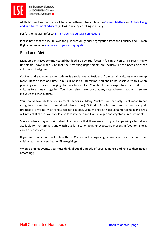

All Hall Committee members will be required to enrol/complete th[e Consent Matters](https://info.lse.ac.uk/Making-a-choice/courses-and-workshops) an[d Anti-bullying](https://moodle.lse.ac.uk/user/view.php?id=89151&course=5552)  [and anti-harassment advisers](https://moodle.lse.ac.uk/user/view.php?id=89151&course=5552) (ABHA) course by enrolling manually.

For further advice, refer to: [British Council: Cultural connections](https://www.britishcouncil.vn/en/programmes/arts/opportunities/connections-through-culture)

<span id="page-17-0"></span>Please note that the LSE follows the guidance on gender segregation from the Equality and Human Rights Commission: [Guidance on gender segregation](https://www.equalityhumanrights.com/en/publication-download/gender-segregation-events-and-meetings-guidance-universities-and-students)

### Food and Diet

Many students have communicated that food is a powerful factor in feeling at home. As a result, many universities have made sure that their catering departments are inclusive of the needs of other cultures and religions.

Cooking and eating for some students is a social event. Residents from certain cultures may take up more kitchen space and time in pursuit of social interaction. You should be sensitive to this when planning events or encouraging students to socialise. You should encourage students of different cultures to eat meals together. You should also make sure that any catered events you organise are inclusive of other cultures.

You should take dietary requirements seriously. Many Muslims will eat only halal meat (meat slaughtered according to prescribed Islamic rules). Orthodox Muslims and Jews will not eat pork products of any kind. Most Hindus will not eat beef. Sikhs will not eat halal-slaughtered meat and Jews will not eat shellfish. You should also take into account Kosher, vegan and vegetarian requirements.

Some students may not drink alcohol, so ensure that there are exciting and appetising alternatives available for non-drinkers and watch out for alcohol being unexpectedly present in food items (e.g. cakes or chocolates).

If you live in a catered hall, talk with the Chefs about recognising cultural events with a particular cuisine (e.g. Lunar New Year or Thanksgiving).

<span id="page-17-1"></span>When planning events, you must think about the needs of your audience and reflect their needs accordingly.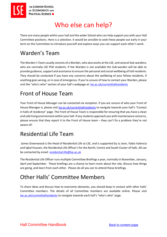

# <span id="page-18-1"></span>Who else can help?

There are many people within your hall and the wider School who can help support you with your Hall Committee positions. Here is a selection. It would be sensible to seek these people out early in your term on the Committee to introduce yourself and explore ways you can support each other's work.

# <span id="page-18-0"></span>Warden's Team

The Warden's Team usually consists of a Warden, who also works at the LSE, and several Sub-wardens, who are normally LSE PhD students. If the Warden is not available the Sub-warden will be able to provide guidance, support and assistance to ensure the personal and social wellbeing of hall residents. They should be contacted if you have any concerns about the wellbeing of your fellow residents, if anything goes wrong, or in case of emergency. If you're unsure of how to contact your Warden, please visit the "who's who" section of your hall's webpage at: [lse.ac.uk/currenthallresidents](https://info.lse.ac.uk/current-students/accommodation/contacts-in-halls-of-residence)

# Front of House Team

Your Front of House Manager can be contacted via reception. If you are unsure of who your Front of House Manager is, please visit [lse.ac.uk/currenthallresidents](http://www.lse.ac.uk/currenthallresidents) to navigate towards your hall's "Contact in halls of residence" page. The Front of House Team is responsible for ensuring that you have a clean and safe living environment within your hall. If any students approach you with maintenance concerns, please ensure that they report it to the Front of House team – they can't fix a problem they're not aware of!

### <span id="page-18-2"></span>Residential Life Team

James Greenwood is the Head of Residential Life at LSE, and is supported by Ju Jeon, Fabio Valencia and Iqbal Hussain, the Residential Life Officer's for the North, Centre and South Cluster of halls. All can be contacted by email: [residential.life@lse.ac.uk](mailto:residential.life@lse.ac.uk)

The Residential Life Officer runs multiple Committee Briefings a year, normally in November, January, April and September. These briefings are a chance to learn more about the role, discuss how things are going, and learn from each other. Please do all you can to attend these briefings.

# <span id="page-18-3"></span>Other Halls' Committee Members

<span id="page-18-4"></span>To share ideas and discuss how to overcome obstacles, you should keep in contact with other halls' Committee members. The details of all Committee members are available online. Please visit [lse.ac.uk/currenthallresidents](https://info.lse.ac.uk/current-students/accommodation/contacts-in-halls-of-residence) to navigate towards each hall's "who's who" page.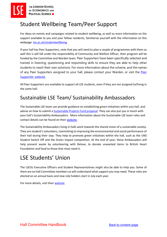# Student Wellbeing Team/Peer Support

For ideas on events and campaigns related to student wellbeing, as well as more information on the support available to you and your fellow residents, familiarise yourself with the information on this webpage: [lse.ac.uk/studentwellbeing](https://info.lse.ac.uk/current-students/student-wellbeing)

If your hall has Peer Supporters, note that you will need to plan a couple of programmes with them as well this is will fall under the responsibility of Community and Welfare Officer, their program will be funded by the Committee and Warden team. Peer Supporters have been specifically selected and trained in listening, questioning and responding skills to ensure they are able to help other students to reach their own solutions. For more information about the scheme, and the names of any Peer Supporters assigned to your hall, please contact your Warden, or visit the [Peer](https://info.lse.ac.uk/current-students/student-wellbeing/students-supporting-students/peer-support-scheme)  [Supporter website.](https://info.lse.ac.uk/current-students/student-wellbeing/students-supporting-students/peer-support-scheme)

<span id="page-19-0"></span>All Peer Supporters are available to support all LSE students, even if they are not assigned to/living in the same hall.

### Sustainable LSE Team/ Sustainability Ambassadors

The Sustainable LSE team can provide guidance on establishing green initiatives within you hall, and advise on how to submit a [Sustainable Projects Fund proposal.](https://info.lse.ac.uk/Staff/Divisions/Estates-Division/Sustainable-LSE/Get-Involved/Sustainable-Projects-Fund) They can also put you in touch with your hall's Sustainability Ambassadors. More information about the Sustainable LSE team roles and contact details can be found on their [website.](https://info.lse.ac.uk/staff/divisions/estates-division/sustainable-lse)

The Sustainability Ambassadors living in halls work towards the shared vision of a sustainable society. They are student's volunteers, committing to improving the environmental and social performance of their hall during their stay. They help to promote green initiatives within the hall, such as the UNS Student Switch Off and the Green Impact competition. At the end of year, these Ambassadors will help prevent waste by volunteering with Relove, to donate unwanted items to British Heart Foundation and food to those that most need it.

# <span id="page-19-1"></span>LSE Students' Union

The LSESU Executive Officers and Student Representatives might also be able to help you. Some of them are ex Hall Committee members so will understand what support you may need. These roles are elected on an annual basis and new role holders start in July each year.

<span id="page-19-2"></span>For more details, visit thei[r website.](https://www.lsesu.com/)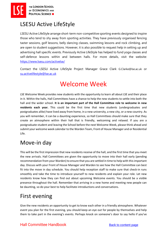

### LSESU Active LifeStyle

LSESU Active LifeStyle arrange short-term non-competitive sporting events designed to inspire those who tend to shy away from sporting activities. They have previously organised fencing taster sessions, golf lessons, belly dancing classes, swimming lessons and rock climbing, and are open to student suggestions. However, it is also possible to request help in setting up and advertising hall specific events. Previously Active LifeStyle has helped to fund yoga classes and self-defence lessons within and between halls. For more details, visit the website: <https://www.lsesu.com/activelse/>

<span id="page-20-0"></span>Contact the LSESU Active LifeStyle Project Manager Grace Clark G.Clarke@lse.ac.uk or [su.activelifestyle@lse.ac.uk](mailto:su.activelifestyle@lse.ac.uk)

# Welcome Week

LSE Welcome Week provides new students with the opportunity to learn all about LSE and their place in it. Within the halls, Hall Committees have a chance to help the new students to settle into both the hall and the wider school. **It is an important part of the Hall Committee role to welcome in new residents each year.** This could be the first time that new students (undergraduates and postgraduates alike) have lived away from home, in a new university, a new city, or a new country. As you will remember, it can be a daunting experience, so Hall Committees should make sure that they create an atmosphere within their hall that is friendly, welcoming and relaxed. If you are a postgraduate student and leaving the School before the next Welcome Week, please think ahead and submit your welcome week calendar to the Warden Team, Front of House Manager and or Residential Life.

# <span id="page-20-1"></span>Move-in day

This will be the first impression that new residents receive of the hall, and the first time that you meet the new arrivals. Hall Committees are given the opportunity to move into their hall early (pending recommendation from your Warden) to ensure that you are settled in time to help with this important day. Discuss with your Front of House Manager and Warden to see how the Hall Committee can best fit into the move in day schedule. You should help reception staff to make sure that check-in runs smoothly and take the time to introduce yourself to new residents and explain your role. Let new residents know how they can find out about upcoming Welcome events. You should be a visible presence throughout the hall. Remember that arriving in a new home and meeting new people can be daunting, so do your best to help facilitate introductions and conversations.

# <span id="page-20-2"></span>First evening

Give the new residents an opportunity to get to know each other in a friendly atmosphere. Whatever event you plan for the first evening, you should keep an eye out for people by themselves and help them to take part in the evening's events. Perhaps knock on someone's door to say hello if you've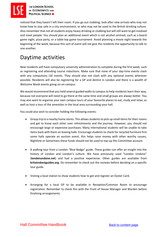noticed that they haven't left their room. If you go out clubbing, look after new arrivals who may not know how to stay safe in a city environment, or who may not be used to the British drinking culture. Also remember that not all students enjoy heavy drinking or clubbing but will still want to get involved and meet people. You should plan an additional event which is not alcohol centred, such as a board game night, pizza party, or a table-top game tournament. Avoid planning a movie night towards the beginning of the week, because this sort of event will not give the residents the opportunity to talk to one another.

# <span id="page-21-0"></span>Daytime activities

New residents will have compulsory university administration to complete during the first week, such as registering and attending course inductions. Make sure that none of your day-time events clash with any compulsory LSE events. They should also not clash with any optional events wherever possible. Residents will also be registering for a GP and dentist in London and there is a wealth of Welcome Week events going on on-campus.

We would recommend that you hold several guided walks to campus to help residents learn their way, because not everyone will need to go there at the same time and small groups are always better. You may also want to organise your own campus tours of your favourite places to eat, study and relax; as well as host a tour of the amenities in the local area surrounding your hall.

You could also wish to consider holding the following events:

- Group trip to a nearby home stores. This allows students to pick up small items for their rooms and get to know each other over refreshments and the journey. However, you should not encourage large or expensive purchases. Many international students will be unable to take items back with them on leaving halls. Encourage students to check for recycled furniture first some halls operate an auction event, this helps raise money with other worthy causes, Nightline or Samaritans these funds should not be used to top-up the Committee account.
- A walking tour from a London "Blue Badge" guide. These guides can offer an insight into the history of London and London's culture. We have previously used "London Undone" (**londonundone.net**) and had a positive experience. Other guides are available from **britainsbestguides.org**. Do remember to check out the reviews before deciding on a specific tour guide.
- Visiting a local station to show students how to get and register an Oyster Card.
- <span id="page-21-1"></span>• Arranging for a local GP to be available in Reception/Common Room to encourage registration. Remember to check this with the Front of House Manager and Warden before finalising arrangements.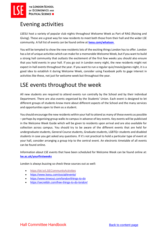### Evening activities

LSESU host a variety of popular club nights throughout Welcome Week as Part of RAG (Raising and Giving). These are a great way for new residents to meet both those from their hall and the wider LSE community. A full list of events can be found online at **[lsesu.com/whatson](https://www.lsesu.com/whatson/)**.

You will be tempted to show the new residents lots of the exciting things London has to offer. London has a lot of unique activities which can make for a memorable Welcome Week, but if you want to build a strong hall community that outlasts the excitement of the first few weeks you should also ensure that you hold events in your hall. If you go out in London every night, the new residents might not expect in-hall events throughout the year. If you want to run a regular quiz/movie/games night, it is a good idea to establish it during Welcome Week, consider using Facebook polls to gage interest in activities like these, not just for welcome week but throughout the year.

## <span id="page-22-0"></span>LSE events throughout the week

All new students are required to attend events run centrally by the School and by their individual Department. There are also events organised by the Students' Union. Each event is designed to let different groups of students know more about different aspects of the School and the many services and opportunities open to them as a student.

You should encourage the new residents within your hall to attend as many of these events as possible – perhaps by organising group walks to campus in advance of key events. Key events will be publicised in the Welcome Week Guide which will be given to residents upon arrival and are also available for collection across campus. You should try to be aware of the different events that are held for undergraduate students, General Course students, Graduate students, LGBTQ+ students and disabled students in case you get asked any questions. If it's not practical to hold a particular type of event at your hall, consider arranging a group trip to the central event. An electronic timetable of all events can be found online.

Information about LSE events that have been scheduled for Welcome Week can be found online at: **[lse.ac.uk/yourfirstweeks](http://lse.ac.uk/yourfirstweeks)**

London is always buzzing so check these sources out as well:

- <https://bit.ly/LSECommunityActivities>
- <https://www.lsesu.com/social/events/>
- <https://www.timeout.com/london/things-to-do>
- <span id="page-22-1"></span>• <https://secretldn.com/free-things-to-do-london/>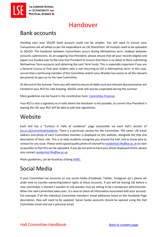

# Handover

# <span id="page-23-0"></span>Bank accounts

Handing over your SOLDO bank account could not be simpler. You will need to ensure your transactions are all tallied as per the expenditure on LSE SharePoint. All receipts need to be uploaded to SOLDO. The handover between Committees occurs during Michaelmas term, midway between accounts submissions. As an outgoing Vice President, please ensure that all your records (digital and paper) are handed over to the new Vice President to ensure that there is no delay to them submitting Michaelmas Term accounts and obtaining the Lent Term funds. This is especially important if you are a General Course or final year student who is not returning to LSE in Michaelmas term. In this case, ensure that a continuing member of the Committee and/or your Warden has access to all the relevant documents to pass on to the new Committee.

At the end of the Summer Term you will need to ensure all debit card and relevant documentation are handed to your RLO for safe keeping. SOLDO cards will also be suspended during the summer.

More guidelines can be found in the constitution here: [Committee](#page-34-0) Finances

Your RLO is also a signatory so in halls where the handover is not possible, as current Vice President is leaving the LSE your RLO will be able to add new signatories.

### <span id="page-23-1"></span>**Website**

Each hall has a "Contact in halls of residence" page (accessible via each hall's section of [lse.ac.uk/currenthallresidents](https://info.lse.ac.uk/current-students/accommodation/contacts-in-halls-of-residence)**.** There is a particular section for the Committee. The name, LSE email address and photo of each Committee member is displayed on this website, alongside the title and description of their role. This is to help residents recognise you around the hall, and to know who to contact for any issue. Please send a good quality photo of yourself to [residential.life@lse.ac.uk](mailto:residential.life@lse.ac.uk) as soon as possible so that this can be uploaded. If you do not wish to have your photo displayed online, please also contact [residential.life@lse.ac.uk.](mailto:residential.life@lse.ac.uk)

Photo guidelines, can be found by clicking [HERE:](https://docs.google.com/document/d/1LjDaFJCcuvWYlNIKIAWeZerMuxm0Ffc7Dm8v_PtW68g/edit?usp=sharing)

# <span id="page-23-2"></span>Social Media

If your Committee has accounts on any social media (Facebook, Twitter, Instagram etc.) please set aside time to transfer ownership/admin rights of these accounts. If you will be leaving LSE before a new committee is elected a warden or sub-warden may be willing to be a temporary administrator. When the new Committee takes over, it is wise to check all information associated with your account. For example, if all the individual Committee members' email addresses listed on the Facebook Page description, they will need to be updated. Social media accounts should be opened using the Hall Committee email and not a personal email.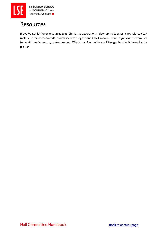

### <span id="page-24-0"></span>Resources

If you've got left over resources (e.g. Christmas decorations, blow up mattresses, cups, plates etc.) make sure the new committee knows where they are and how to access them. If you won't be around to meet them in person, make sure your Warden or Front of House Manager has the information to pass on.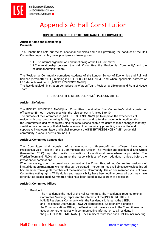# <span id="page-25-0"></span>Appendix A: Hall Constitution

#### **CONSTITUTION OF THE [RESIDENCE NAME] HALL COMMITTEE**

#### **Article I: Name and Membership Preamble**

This Constitution sets out the foundational principles and rules governing the conduct of the Hall Committee. In particular, these principles and rules govern:

1.1 The internal organisation and functioning of the Hall Committee.

1.2 The relationship between the Hall Committee, the 'Residential Community' and the 'Residential Administration'.

The 'Residential Community' comprises students of the London School of Economics and Political Science (hereinafter 'LSE') residing in [INSERT RESIDENCE NAME] and, where applicable, partners of LSE students residing in [INSERT RESIDENCE NAME]

The 'Residential Administration' comprises the Warden Team, Residential Life team and Front of House Team.

THE ROLE OF THE [RESIDENCE NAME] HALL COMMITTEE

#### **Article 1: Definition**

The [INSERT RESIDENCE NAME] Hall Committee (hereinafter 'the Committee') shall consist of officers confirmed in accordance with the rules set out in Articles 8 to 10.

The purpose of the Committee in [INSERT RESIDENCE NAME] is to improve the experiences of residents through programming, facility improvements, and cultural engagements. Additionally, the Committee is dedicated to providing the resources to enable residents to make changes that they see fit in their community. It shall foster a sense of community by promoting a respectful and supportive living committee, and it shall represent the [INSERT RESIDENCE NAME] residential community in various events around LSE.

#### **Article 2: Committee Composition**

The Committee shall consist of a minimum of three confirmed officers, including a President, a Vice President, and a Communications Officer. The Warden and Residential Life Office (hereinafter 'RLO) may also invite nominations for additional roles where appropriate. The Warden Team and RLO shall determine the responsibilities of such additional officers before the invitation for nominations.

When necessary, upon the unanimous consent of the Committee, ad hoc Committee positions of limited duration (maximum two months) can be created. The Committee shall objectively select this ad hoc member from eligible members of the Residential Community. The ad hoc member shall not have Committee voting rights. While duties and responsibility have been outline below all post may have other duties as assigned. Committee roles have been listed below is order of secession.

#### **Article 3: Committee Offices**

1. President

The President is the head of the Hall Committee. The President is required to chair Committee Meetings, represent the interests of the [INSERT RESIDENCE NAME] Residential Community with the Residential Life team, the LSESU and Residences User Group (RUG). At all meetings. Additionally, alongside the Communications Officer, the President will have access to the Committee email account to further assist with communicating information to all residents in the [INSERT RESIDENCE NAME]. The President must lead each Hall Council meeting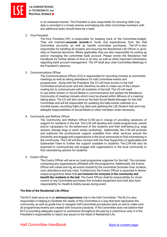

in an unbiased manner. The President is also responsible for ensuring Halls Cup data is recorded in a timely manner and helping the other Committee members with any additional tasks should there be a need.

2. Vice President

The Vice President (VP) is responsible for keeping track of the Committee budget. They will maintain **accurate records** of funds and expenditures from the Hall Committee accounts, as well as handle committee purchases. The VP is also responsible for handling all receipts and ensuring the Residential Life Officer is up-todate on financial decisions. Where applicable, they are also responsible for setting up and/or managing the committee bank account. Please review the Residence Hall Handbook for further details of how to do this, as well as other important information regarding bank account management. The VP shall also chair Committee Meetings in the President's absence.

#### 3. Communications Officer

The Communications Officer (CO) is responsible for recording minutes at committee meetings as well as taking attendance for Hall Committee events and programmes. Along with the President, the CO will have access to the Hall Committee email account and will, therefore, be able to make use of the Listserv mailing list to communicate with all residents of the hall. The CO will need to use either listserv or Social Media to communication and update the Residence Community of meeting minuets which must be shared within 48hours of a meeting taking place. The CO will also serve as the lead Social Media Manager for the Hall Committee and will be responsible for updating the halls events calendar on a monthly bases, recording Halls Cup data and updating the LSE Student Hub and may delegate responsibilities of Social Media to other members when necessary.

4. Community and Welfare Officer

The Community and Welfare Officer (C/W) are in charge of providing variations of support for residents in the hall. The C/W will develop and create programmes, events and/or campaigns for the betterment of the students and their well-being (e.g. yoga session, therapy dogs or exam stress workshop). Additionally, the C/W will promote and publicise the professional support available from other services around the University and engage with organisations in the local community to find volunteering in the community. The C/W will also connect with the Peer Supporters (if applicable) and Subwarden Team to further the support available to students. The C/W will also be expected to communicate and engage with organisations in the local community to find volunteering options for students.

5. Events Officer

The Events Officer will serve as Lead programme organiser for the hall. This includes contacting any organisations affiliated with the programme. Additionally, the Events Officer will create and log all events hosted by the committee (Includes time, location, cost, attendance and any note). Furthermore, the Events Officer is expected to devise unique programme ideas that **are inclusive for everyone in the community and benefit the residents in the hall.** The Event Officer shall be responsibility for stock control of any Committee purchases this includes equipment and shall also have responsibility for Health & Safety issues during event.

#### **The Role of the Residential Life Officer**

The RLO shall serve as in an **advisory/supervisory** role to the Hall Committee. The RLO is also responsible in helping to facilitate the needs of the Committee in a way that best represents the community, as well as guide how to navigate Hall Committee procedures early on and to make sure all programmes/events are created with inclusive practices. If the Committee does not believe their RLO is providing adequate support or assistance throughout the year by a unanimous vote, it is the President's responsibility to report any issues to the Head of Residential Life.

### Hall Committee Handbook [Back to content page](#page-4-0)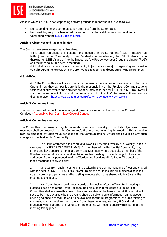

Areas in which an RLO is not responding and are grounds to report the RLO are as follow:

- No responding to any communication attempts from the Committee.
- Not providing support when asked for and not providing valid reasons for not doing so.
- Conflicting with the [LSE's Code of Ethics](https://info.lse.ac.uk/staff/divisions/Secretarys-Division/Ethics/Ethics-Code)

#### **Article 4: Objectives and Responsibilities**

The Committee serves two primary objectives.

4.1 It shall represent the general and specific interests of the [INSERT RESIDENCE NAME] Residential Community to the Residential Administration, the LSE Students Union (hereinafter 'LSESU') and at inter-hall meetings (the Residences User Group (hereinafter 'RUG') and the Inter-halls President is Meeting).

4.2 It shall also foster a sense of community in [residence name] by organising an inclusive social programme for residents and promoting a respectful and supportive living environment.

#### **4.3: Hall Cup**

4.3.1The Committee shall work to ensure the Residential Community are aware of the Halls Cup and how they can participate. It is the responsibility of the President/Communications Officer to ensure events and activities are accurately recorded for [INSERT RESIDENCE NAME] via the online event form and communicate with the RLO to ensure there are no discrepancies. - [https://lse.eu.qualtrics.com/jfe/form/SV\\_aben0lwJWnZF9c1](https://lse.eu.qualtrics.com/jfe/form/SV_aben0lwJWnZF9c1) 

#### **Article 5: Committee Ethos**

The Committee shall respect the rules of good governance set out in the Committee Code of Conduct. - Appendix A: Hall Committee Code of Conduct

#### **Article 6: Committee meetings**

The Committee shall meet at regular intervals (weekly or bi-weekly) to fulfil its objectives. These meetings shall be timetabled at the Committee's first meeting following the election. This timetable may be amended by unanimous consent and the Communications Officer shall publicise any such changes to the Residential Community.

1. The Hall Committee shall conduct a Town Hall meeting (weekly or bi-weekly), open to everyone in [INSERT RESIDENCE NAME]. All members of the Residential Community may attend and have speaking rights at Committee Meetings. Where possible, a member of the Warden Team or RLO shall attend each Committee meeting to provide insight into issues addressed from the perspective of the Warden and Residential Life Team. The details of these meetings are given below:

2. Minutes from each meeting shall be taken by the Communications Officer and shared with resident in [INSERT RESIDENCE NAME] minutes should include all business discussed, up and coming programmes and budgeting, minuets should be shared within 48hrs of the meeting taking place.

3. Hall Committee should meet (weekly or bi-weekly) after the Town Hall meeting to discuss ideas given at the Town Hall meeting or issues that residents are facing. The Committee shall also use this time to have an overview of the bank account, this report will need to be made available by the VP, and should be able to give information on the account opening balance, expenditure and funds available for future programmes. Minutes relating to this meeting shall be shared with the all Committee members, Warden, RLO and Hall Managers where appropriate. Minutes of the meeting will need to share within 48hrs of the meeting taking place.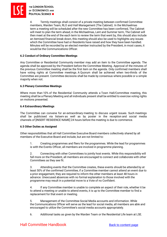

THE LONDON SCHOOL OF ECONOMICS AND **POLITICAL SCIENCE III** 

4. Termly meetings shall consist of a private meeting between confirmed Committee members, Warden Team, RLO and Hall Management (The Cabinet). In the Michaelmas term a meeting will be scheduled after the new Committee has been confirmed, The Cabinet will meet to plan the term ahead, in the Michaelmas, Lent and Summer term, The Cabinet will then meet at the end of the each term to review the term that went by, this should also include an itemised financial break down, this meeting should also be used to highlights any issues which the Committee have had or Residents have raised and how they have been handled. Minutes will be recorded by an elected member instructed by the President, in most cases, it would be the Communications Officer.

#### **6.2 Conduct of Ordinary Committee Meetings**

Any Committee or Residential Community member may add an item to the Committee agenda. The agenda shall be approved by the President before the Committee Meeting. Approval of the minutes of the previous Committee meeting shall be the first item on the agenda. Only confirmed members shall have voting rights at Committee meetings. A Quorum shall be achieved when two-thirds of the Committee are present. Committee decisions shall be made by consensus where possible or a simple majority when not.

#### **6.3 Plenary Committee Meetings**

Where more than 10% of the Residential Community attends a Town Hall/Committee meeting, this meeting shall be a Plenary Meeting and all individuals present shall be entitled to exercise voting rights on motions presented.

#### **6.4 Extraordinary Meetings**

The Committee can convene for an extraordinary meeting to discuss urgent issues. Such meetings shall be publicised via listserv as well as by poster in the reception and social media channels of [INSERT RESIDENCE NAME] 24 hours before the meeting is due to commence.

#### **6.5 Other Duties as Assigned**

Other responsibilities that all Hall Committee Executive Board members collectively shared by all members of the Executive Board and include, but are not limited to:

1. Creating programmes and fliers for the programmes. While the lead for programmes is with the Events Officer, all members are involved in programme planning.

2. Connecting with other Committees to jointly host events. While this responsibility will fall more on the President, all members are encouraged to connect and collaborate with other Committees as they see fit.

3. Attending events that the Committee creates, these events should be attended by at least 50% of the confirmed Committee, if a Committee member cannot attend an event due to a prior engagement, they are required to inform the other members at least 48 hours in advance. Unexcused absences with no formal explanation to those involved with the programme may result in a potential move to a Vote of no Confident.

4. If any Committee member is unable to complete an aspect of their role, whether it be to attend a meeting or unable to attend events, it is up to the Committee member to find a replacement for that event or meeting.

5. Management of the Committee Social Media accounts and information. While the Communications Officer will serve as the lead for social media, all members are able and encouraged to utilize the Committee's social media accounts appropriately.

6. Additional tasks as given by the Warden Team or the Residential Life team at LSE.

### Hall Committee Handbook [Back to content page](#page-4-0)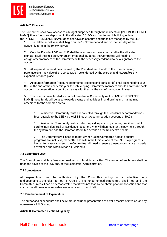

#### **Article 7: Finances.**

The Committee shall have access to a budget supported through the residents in [INSERT RESIDENCE NAME], these funds are deposited in the allocated SOLDO account for each building, unless the in [INSERT RESIDENCE NAME] does not have an account and funds are managed by the RLO.

1. The Hall financial year shall begin on the  $1$ <sup>st</sup> November and end on the first day of the academic term in the following year

2. Only the President, VP and RLO shall have access to the account and be the allocated signatories, if the President/VP are international students, the Committee will need to assign other members of the Committee with the necessary credential to be a signatory to the account.

3. All expenditure must be approved by the President and the VP of the Committee any purchase over the value of £1000.00 MUST be endorsed by the Warden and RLO *before* any expenditure takes place.

4. Account information (Account documents, Receipts and bank cards) shall be handed to your RLO at the end of the academic year for safekeeping. Committee members should *never* take bank account documentation or debit card away with them at the end of the academic year.

5. The Committee is funded via part of Residential Community rent in [INSERT RESIDENCE NAME] these funds will be used towards events and activities in and buying and maintaining amenities for the common areas.

1. Residential Community rents are collected through the Residents accommodations fees, payable to the LSE via the LSE Student Accommodation account, or BAC's.

2. Residential Community rent can also be paid in person by cheque, credit and debit card to individual Hall of Residence reception, who will then register the payment through the system and add the Common Room fee details on the Resident's behalf.

3. The Committee will need to mindful when using Committee funds to ensure programs are inclusive, respectful and within the Ethics Code of the LSE. If a program is limited to several students the Committee will need to ensure these programs are properly advertised and within reach all Residents.

#### **7.6 Committee Levy**

The Committee shall levy fees upon residents to fund its activities. The levying of such fees shall be upon the advice of the RUG and/or the Residential Administration.

#### **7.7 Competence**

All expenditure must be authorised by the Committee acting as a collective body and according to the rules set out in Article 7. The unauthorised expenditure shall not bind the Committee unless it can be demonstrated that it was not feasible to obtain prior authorisation and that such expenditure was reasonable, necessary and in good faith.

#### **7.8 Reimbursement of Expenditure**

The authorised expenditure shall be reimbursed upon presentation of a valid receipt or invoice, and by agreement of RLO's only.

#### **Article 8: Committee election/Eligibility**

Hall Committee Handbook [Back to content page](#page-4-0)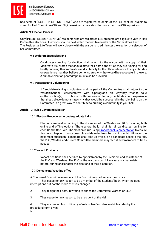

Residents of [INSERT RESIDENCE NAME] who are registered students of the LSE shall be eligible to stand for Hall Committee Offices. Eligible residents may stand for more than one Office position.

#### **Article 9: Election Process**

Only [INSERT RESIDENCE NAME] residents who are registered LSE students are eligible to vote in Hall Committee elections. Elections shall be held within the first five weeks of the Michaelmas Term. The Residential Life Team will work closely with the Wardens to administer the election or selection of hall committees.

#### 9.1 **Undergraduate Elections**

Candidates standing for election shall return to the Warden with a copy of their Manifesto 500 words that should state their name, the office they are running for and briefly outlining their motivation and suitability for the office reference to any aptitudes or experience that they believe demonstrates why they would be successful in the role. A suitable election photograph must also be provided.

#### 9.2 **Postgraduate Volunteering**

A Candidate wishing to volunteer and be part of the Committee shall return to the Warden/School Representative with a paragraph on why they wish to take on the position(s) of choice with reference to any aptitudes or experience that they believe demonstrates why they would be successful in the role. Being on the Committee is a great way to contribute to building a community in your hall.

#### **Article 10: Rules Governing Election**

#### 10.1 **Election Procedures in Undergraduate halls**

Elections are held according to the discretion of the Warden and RLO, including both online and offline options. The electoral ballot shall list all candidates running for each Committee Role. The election is run using [Proportional Representation](https://www.youtube.com/watch?v=cYUUmphAAhQ) to ensure ties do not happen. If a successful candidate declines the position within 48 hours, the next most successful candidate shall take up office. If no candidate accepts the role, the RLO, Warden, and current Committee members may recruit new members to fill as needed.

#### 10.2 **Vacant Positions**

Vacant positions shall be filled by appointment by the President and assistance of the RLO and Wardens. The RLO or the Wardens can fill any vacancy that exists before, during and/or after the elections at their discretion.

#### 10.3 **Denouncing/vacating office**

A Confirmed Committee members of the Committee shall vacate their office if: 1. They cease for any reason to be a member of the Students' body, which includes interruptions but not the mode of study changes.

2. They resign their post, in writing to either, the Committee, Warden or RLO.

3. They cease for any reason to be a resident of the Hall.

4. They are ousted from office by a Vote of No Confidence which abides by the procedural form given.

5.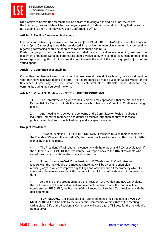

NB: Confirmed Committee members will be obligated to carry out their duties until the end of the first term, the candidate will be given a grace period of 7 days to step down if they find the roll is not suitable to them after they have been Confirmed to Office.

#### **Article 11: Election Canvassing & Hustings**

Election candidates may canvass door-to-door in [INSERT RESIDENCE NAME] between the hours of 11am-10pm. Canvassing should be conducted in a polite, non-coercive manner. Any complaints regarding canvassing should be addressed to the Wardens and RLOs.

Poster campaigns shall not be excessive and shall respect local rules concerning cost and the placement of posters. Outgoing committees should work closely with candidates running for positions to arrange a husting, this night is normally held towards the end of the campaign period just before voting opens.

#### **Article 12: Committee accountability**

Committee members will need to report on their own role at the end of each term, they should mention what they have achieved during the term. This report should be made public on Social Media for the Residence Community to see what their elected/volunteer Officials have done for the community during the course of the term.

#### **Article 13: Vote of No Confidence - SETTING OUT THE CONCERNS**

11. The Committee or a group of Hall Residents may approach either the Warden or the Residential Life Team to initiate the procedure which leads to a Vote of No Confidence being taken.

2. Any meeting is to set out the concerns of the Committee or Residents about an individual Committee member/s and gather as much information about weaknesses, problems and fault as possible to directly address specific issues.

#### **Group of Residences:**

• 10% of students in [INSERT RESIDENCE NAME] will need to raise their concerns to the President/VP about the individual/s, the concern will need to be submitted in a joint letter signed by those residents.

• The President/VP will share the concerns with the Warden and RLO for evaluation. If the outcome is **NOT VALID,** the President/VP will report back to the 10% of residents who raised the concerns with the decision and its reasons.

• If the concerns are **VALID** the President/VP, Warden and RLO will raise the issue/s with the individual/s at a meeting where they will be given an action plan outlining ways in which to improve any failings and or behaviour, a time frame by which to show considerable improvement, this period will be minimum of 14 days as of the meeting date.

• At the end of the probation period the President/VP, Warden and RLO will evaluate the performance of the individual/s, if improvement has been made, the matter will be considered as **RESOLVED**, the President/VP will report back to the 10% of residents with the decision made.

• If **UNRESOLVED,** the individual/s can either denounce their position or a **VOTE OF NO CONFIDENCE** will be held by the Residential Community within 24hrs of the meeting taking place. **25%** of the Residential Community will need cast a **YES** vote for the individual/s to be ousted.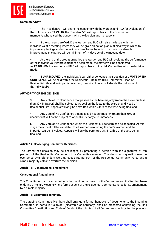

#### **Committee/Staff**

• The President/VP will share the concerns with the Warden and RLO for evaluation. If the outcome is **NOT VALID,** the President/VP will report back to the Committee member/s who raised the concern with the decision and its reasons.

• If the concerns are **VALID** the Warden and RLO will raise the issue with the individual/s at a meeting where they will be given an action plan outlining way in which to improve any failings and or behaviour a time frame by which to show considerable improvement, this period will be minimum of 14 days as of the meeting date.

• At the end of the probation period the Warden and RLO will evaluate the performance of the individual/s, if improvement has been made, the matter will be considered as **RESOLVED**, the Warden and RLO will report back to the Hall Committee with the decision made.

• If **UNRESOLVED,** the individual/s can either denounce their position or a **VOTE OF NO CONFIDENCE** will be held within the Residential Life team (Hall Committee, Head of Residential Life and an impartial Warden), majority of votes will decide the outcome of the individual/s.

#### **AUTHORITY OF THE DECISION**

3. Any Vote of No Confidence that passes by the bare majority (more than 25% but less than 30% in favour) shall be subject to Appeal on the facts to the Warden and Head of Residential Life. Appeals will only be permitted within 24hrs of the vote being finalised.

4. Any Vote of No Confidence that passes by super-majority (more than 50% or unanimous) will not be subject to Appeal under any circumstances.

5. Any Vote of No Confidence within the Residential Life team can be appealed. At this stage the appeal will be escalated to all Wardens excluding the hall's Warden and the impartial Warden involved. Appeals will only be permitted within 24hrs of the vote being finalised.

#### **Article 14: Challenging Committee Decisions**

The Committee's decision may be challenged by presenting a petition with the signatures of ten per cent of the Residential Community to a Committee meeting. The decision in question may be overturned by a referendum were at least thirty per cent of the Residential Community votes and a simple majority votes to overturn the decision.

#### **Article 15: Constitutional amendment**

#### **Constitutional Amendment**

This Constitution can be amended with the unanimous consent of the Committee and the Warden Team or during a Plenary Meeting where forty per cent of the Residential Community votes for its amendment by a simple majority.

#### **Article 16: Committee continuity**

The outgoing Committee Members shall arrange a formal handover of documents to the incoming Committee. In particular, a folder (electronic or hardcopy) shall be presented containing the Hall Committee Constitution and Code of Conduct, the minutes of all Committee meetings for the previous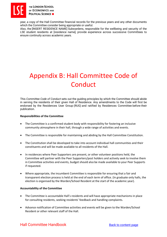

year, a copy of the Hall Committee financial records for the previous years and any other documents which the Committee consider being appropriate or useful.

Also, the [INSERT RESIDENCE NAME] Subwardens, responsible for the wellbeing and security of the LSE student residents at [residence name], provide experience across successive Committees to ensure continuity across academic years.

# <span id="page-33-0"></span>Appendix B: Hall Committee Code of Conduct

This *Committee Code of Conduct* sets out the guiding principles by which the Committee should abide in serving the residents of their given Hall of Residence. Any amendments to the Code will first be endorsed by the Residences User Group (RUG) and ratified by Residences Committee before their publication.

#### **Responsibilities of the Committee**

- The Committee is a confirmed student body with responsibility for fostering an inclusive community atmosphere in their hall, through a wide range of activities and events.
- The Committee is responsible for maintaining and abiding by the Hall Committee Constitution.
- The Constitution shall be developed to take into account individual hall communities and their constituents and will be made available to all residents of the Hall.
- In residences where Peer Supporters are present, or other volunteer positions held, the Committee will partner with the Peer Supporters/post holders and actively seek to involve them in Committee activities and events, budget should also be made available to your Peer Supports if requested.
- Where appropriate, the incumbent Committee is responsible for ensuring that a fair and transparent election process is held at the end of each term of office. (In graduate only halls, the election is organised by the Warden/School Resident at the start of the academic year).

#### **Accountability of the Committee**

- The Committee is accountable Hall's residents and will have appropriate mechanisms in place for consulting residents, seeking residents' feedback and handling complaints.
- Advance notification of Committee activities and events will be given to the Warden/School Resident or other relevant staff of the Hall.

### Hall Committee Handbook [Back to content page](#page-4-0)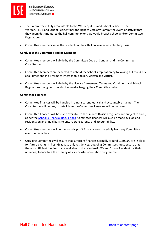

THE LONDON SCHOOL OF ECONOMICS AND **POLITICAL SCIENCE III** 

- The Committee is fully accountable to the Warden/RLO's and School Resident. The Warden/RLO's and School Resident has the right to veto any Committee event or activity that they deem detrimental to the hall community or that would breach School and/or Committee Regulations.
- Committee members serve the residents of their Hall on an elected voluntary basis.

#### **Conduct of the Committee and its Members**

- Committee members will abide by the Committee Code of Conduct and the Committee Constitution.
- Committee Members are expected to uphold the School's reputation by following its Ethics Code at all times and in all forms of interaction, spoken, written and virtual.
- Committee members will abide by the Licence Agreement, Terms and Conditions and School Regulations that govern conduct when discharging their Committee duties.

#### <span id="page-34-0"></span>**Committee Finances**

- Committee finances will be handled in a transparent, ethical and accountable manner. The Constitution will outline, in detail, how the Committee Finances will be managed.
- Committee finances will be made available to the Finance Division regularly and subject to audit, as per the [School's Financial Regulations.](https://info.lse.ac.uk/staff/services/Policies-and-procedures/Assets/Documents/finReg.pdf) Committee finances will also be made available to residents on an annual basis to ensure transparency and accountability.
- Committee members will not personally profit financially or materially from any Committee events or activities.
- Outgoing Committees will ensure that sufficient finances normally around £1500.00 are in place for future events. In Post-Graduate only residences, outgoing Committees must ensure that there is sufficient funding made available to the Warden/RLO's and School Resident (or their nominee) to facilitate the running of a successful orientation programme.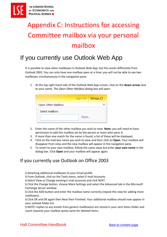# <span id="page-35-0"></span>Appendix C: Instructions for accessing Committee mailbox via your personal mailbox

# If you currently use Outlook Web App

It is possible to view other mailboxes in Outlook Web App, but this works differently from Outlook 2003. You can only have one mailbox open at a time; you will not be able to see two mailboxes simultaneously in the navigation pane.

1. At the top right-hand side of the Outlook Web App screen, click on the **down arrow** next to your name. *The Open Other Mailbox dialog box will open*.

|                    | sign out   Minter,CI - |
|--------------------|------------------------|
| Open Other Mailbox |                        |
| Select mailbox:    |                        |
|                    | Open                   |

- 2. Enter the name of the other mailbox you wish to view. **Note:** you will need to have permission to add this mailbox set by the person or team who owns it.
- 3. If more than one match for the name is found, a list of these will be displayed.
- 4. Click on the mail box name you wish to view and then click on **Open**. Your mailbox will disappear from view and the new mailbox will appear in the navigation pane.
- 5. To revert to your own mailbox, follow the same steps but enter **your own name** in the dialog box. Click **Open** and your mailbox will appear again.

### If you currently use Outlook on Office 2003

§ Attaching additional mailboxes to your Email profile

§ From Outlook, click on the Tools menu, select E-mail Accounts

§ Select View or Change existing E-mail accounts and click NEXT

§ Click the Change button, choose More Settings and select the Advanced tab in the Microsoft Exchange Server window.

§ Click the ADD button and enter the mailbox name correctly (repeat this step for adding more mailboxes).

§ Click OK and OK again then Next then Finished. Your additional mailbox should now appear in your outlook folder list.

§ NOTE! replies to any emails from generic mailbox(es) are stored in your sent items folder and count towards your mailbox quota same for deleted items.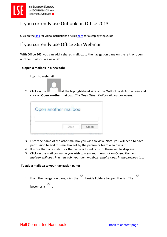

### If you currently use Outlook on Office 2013

Click on the [link](https://support.deakin.edu.au/kb_view_customer.do?sys_kb_id=ac3dc6ce0d2e8140ac47ae1cab3dc857) for video instructions or click [here](https://www.groovypost.com/howto/add-additional-mailbox-in-outlook-2013/) for a step by step guide

### If you currently use Office 365 Webmail

With Office 365, you can add a shared mailbox to the navigation pane on the left, or open another mailbox in a new tab.

#### **To open a mailbox in a new tab:**

1. Log into webmail.



2. Click on the atthe top right-hand side of the Outlook Web App screen and click on **Open another mailbox**…*The Open Other Mailbox dialog box opens.*

| Open another mailbox |  |
|----------------------|--|
|                      |  |
|                      |  |
|                      |  |

- 3. Enter the name of the other mailbox you wish to view. **Note:** you will need to have permission to add this mailbox set by the person or team who owns it.
- 4. If more than one match for the name is found, a list of these will be displayed.
- 5. Click on the mail box name you wish to view and then click on **Open.** *The new mailbox will open in a new tab. Your own mailbox remains open in the previous tab.*

#### **To add a mailbox to your navigation pane:**

1. From the navigation pane, click the beside Folders to open the list. The

| becomes a |  |
|-----------|--|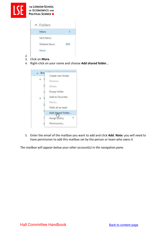

- 3. Click on **More**.
- 4. Right-click on your name and choose **Add shared folder**…

|  | Bro |                   |  |
|--|-----|-------------------|--|
|  |     | Create new folder |  |
|  |     | Rename            |  |
|  |     | Delete            |  |
|  |     | Empty folder      |  |
|  |     | Add to Favorites  |  |
|  | Æ   | Move              |  |
|  |     | Mark all as read  |  |
|  |     | Add shared folder |  |
|  |     | Assign policy     |  |
|  |     | Permissions       |  |

5. Enter the email of the mailbox you want to add and click **Add**. **Note:** you will need to have permission to add this mailbox set by the person or team who owns it

*The mailbox will appear below your other account(s) in the navigation pane.*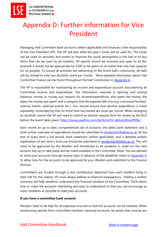# <span id="page-38-0"></span>Appendix D: Further information for Vice President

Managing Hall Committee bank accounts (where applicable) and finances is the responsibility of the Vice President (VP). The VP will plan what the year's funds will be used for. The funds can be used on activities and events to improve the social atmosphere in the hall or to buy items that can be used by all students. All spends should be inclusive and open to all (for example it would not be appropriate for £300 to be spent on an event that only had capacity for six people). To ensure all activities are welcoming to the entire hall's community, all halls will be limited to only two alcoholic event per month, More detailed information about Hall Committee finance can be found throughout the Hall Constitution in [Appendix A.](#page-25-0)

The VP is responsible for maintaining an income and expenditure account documenting all Committee income and expenditure. The information required is opening and closing balances, money in, money out, reasons for income/expenditure, who spent the money, the dates the money was spent, and a category that the expense falls into (e.g. communal facilities, internal events, external events etc.). You should ensure that alcohol expenditure is listed separately; remembering that no more than two events are done per month. When arranging an alcoholic events the VP will need to submit an alcohol request form for review by the RLO before the event takes place: [https://lse.eu.qualtrics.com/jfe/form/SV\\_a4AoqURorpPN9yJ](https://lse.eu.qualtrics.com/jfe/form/SV_a4AoqURorpPN9yJ)

Each month an up to date, comprehensive set of accounts, the latest bank statement and a brief written overview of expenditure should be submitted to [residential.life@lse.ac.uk.](mailto:residential.life@lse.ac.uk) At the end of every term a full record, bank statement (where applicable), and a detailed written explanation of last term's fund use should be submitted to [residential.life@lse.ac.uk.](mailto:residential.life@lse.ac.uk) This will need to be approved by the Warden and distributed to all residents in order for the next account top-up to take place and be made available to the Committee. Note: You are advised to send your accounts through several days in advance of the deadlines listed in Appendix G to allow time for the accounts to be approved by your Warden and submitted to the Finance Division.

Committee's are funded through a rent contribution deducted from each resident living in their hall for this reason, VP must always adhere to financial transparency. Adding a written summary will help residents understand the financial situation of the Committee. Think about how to make the accounts interesting and easy to understand so that you can encourage as many residents as possible to read your accounts.

#### **If you have a committee bank account**

Receipts need to be kept for all expenses incurred so that the accounts can be checked. When reimbursing spends from committee members' personal accounts, be aware that invoices are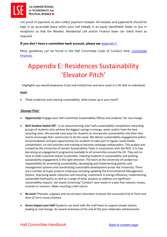

not proof of payment, so also collect payment receipts. All receipts and paperwork should be kept in an accessible place within your hall (ideally in an easily identifiable folder or box in reception) so that the Warden, Residential Life and/or Finance team can check them as required.

#### **If you don't have a committee bank account, please see** Appendix F.

More guidelines can be found in the Hall Committee Code of Conduct here: [Committee](#page-34-0)  [Finances.](#page-34-0)

# <span id="page-39-0"></span>Appendix E: Residences Sustainability 'Elevator Pitch'

(Highlights you would emphasise if you had limited time and were stuck in a lift with an individual)

#### **Hook**

• Think residences and catering sustainability, what comes up in your mind?

#### **'Elevator Pitch'**

- *Opportunity!* Engage your Hall Committee Sustainability Officer and students' for real change.
- **NUS Student Switch Off**  is an award-winning inter-halls sustainability competition rewarding groups of students who achieve the biggest savings in energy, water and/or have the best recycling rates. We provide easy ways for students to incorporate sustainability into their lives and to encourage their community to do the same. We deliver sustainability engagement within accommodation and give opportunities for students to take part in regular social media competitions, on-site activities and training to become campaign ambassadors. This project was created by the University of London Sustainability Team in conjunction with the NUS. It is now becoming an engagement programme available to all universities around the UK. They aim to have as wide a positive impact as possible, inspiring students in sustainability and pushing sustainability engagement in the right direction. The team at the University of London has responsibility for promoting sustainability, developing and implementing policies and management systems and coordinating sustainable development across the University. There are a number of major projects underway including updating the Environmental Management System, improving waste reduction and recycling, investment in energy efficiency, implementing sustainable food policy as well as a range of other projects to address our significant sustainability impacts. Get waste streaming! 'Conduct' your waste in a way that reduces, reuses, recycles or recovers. Make recycling a hall culture.
- *Re:Love!* Promote, organise and recruit keen volunteers to boost the successful End of Term and Start of Term reuse schemes.
- *Green Impact your hall!* Students can work with the staff team to support simple actions, leading to real change. An award ceremony at the end of the year celebrates achievements.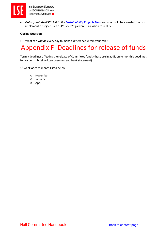

• *Got a great idea? Pitch it to the [Sustainability Projects Fund](https://info.lse.ac.uk/Staff/Divisions/Estates-Division/Sustainable-LSE/Get-Involved/Sustainable-Projects-Fund)* and you could be awarded funds to implement a project such as Passfield's garden. Turn vision to reality.

#### **Closing Question**

• What can *you do* every day to make a difference within your role?

# <span id="page-40-0"></span>Appendix F: Deadlines for release of funds

Termly deadlines affecting the release of Committee funds (these are in addition to monthly deadlines for accounts, brief written overview and bank statement).

1<sup>st</sup> week of each month listed below:

- o November
- o January
- o April